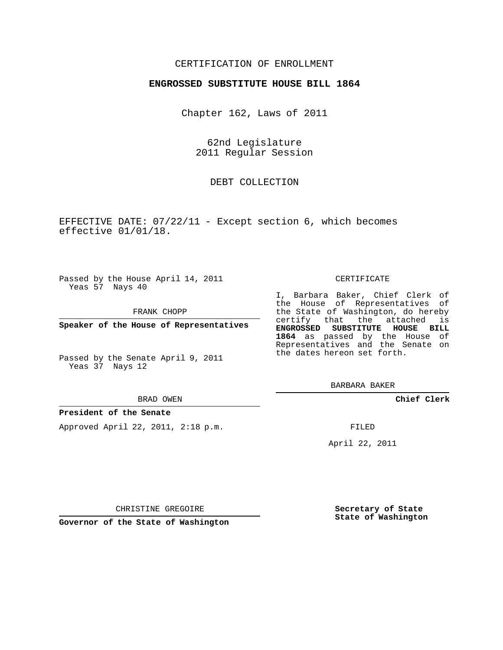## CERTIFICATION OF ENROLLMENT

## **ENGROSSED SUBSTITUTE HOUSE BILL 1864**

Chapter 162, Laws of 2011

62nd Legislature 2011 Regular Session

DEBT COLLECTION

EFFECTIVE DATE: 07/22/11 - Except section 6, which becomes effective 01/01/18.

Passed by the House April 14, 2011 Yeas 57 Nays 40

FRANK CHOPP

**Speaker of the House of Representatives**

Passed by the Senate April 9, 2011 Yeas 37 Nays 12

#### BRAD OWEN

## **President of the Senate**

Approved April 22, 2011, 2:18 p.m.

#### CERTIFICATE

I, Barbara Baker, Chief Clerk of the House of Representatives of the State of Washington, do hereby certify that the attached is **ENGROSSED SUBSTITUTE HOUSE BILL 1864** as passed by the House of Representatives and the Senate on the dates hereon set forth.

BARBARA BAKER

**Chief Clerk**

FILED

April 22, 2011

CHRISTINE GREGOIRE

**Governor of the State of Washington**

**Secretary of State State of Washington**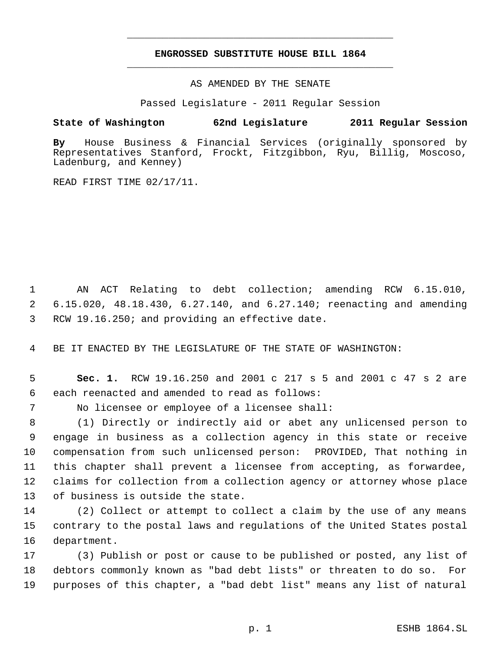# **ENGROSSED SUBSTITUTE HOUSE BILL 1864** \_\_\_\_\_\_\_\_\_\_\_\_\_\_\_\_\_\_\_\_\_\_\_\_\_\_\_\_\_\_\_\_\_\_\_\_\_\_\_\_\_\_\_\_\_

\_\_\_\_\_\_\_\_\_\_\_\_\_\_\_\_\_\_\_\_\_\_\_\_\_\_\_\_\_\_\_\_\_\_\_\_\_\_\_\_\_\_\_\_\_

AS AMENDED BY THE SENATE

Passed Legislature - 2011 Regular Session

# **State of Washington 62nd Legislature 2011 Regular Session**

**By** House Business & Financial Services (originally sponsored by Representatives Stanford, Frockt, Fitzgibbon, Ryu, Billig, Moscoso, Ladenburg, and Kenney)

READ FIRST TIME 02/17/11.

 AN ACT Relating to debt collection; amending RCW 6.15.010, 6.15.020, 48.18.430, 6.27.140, and 6.27.140; reenacting and amending RCW 19.16.250; and providing an effective date.

BE IT ENACTED BY THE LEGISLATURE OF THE STATE OF WASHINGTON:

 **Sec. 1.** RCW 19.16.250 and 2001 c 217 s 5 and 2001 c 47 s 2 are each reenacted and amended to read as follows:

No licensee or employee of a licensee shall:

 (1) Directly or indirectly aid or abet any unlicensed person to engage in business as a collection agency in this state or receive compensation from such unlicensed person: PROVIDED, That nothing in this chapter shall prevent a licensee from accepting, as forwardee, claims for collection from a collection agency or attorney whose place of business is outside the state.

 (2) Collect or attempt to collect a claim by the use of any means contrary to the postal laws and regulations of the United States postal department.

 (3) Publish or post or cause to be published or posted, any list of debtors commonly known as "bad debt lists" or threaten to do so. For purposes of this chapter, a "bad debt list" means any list of natural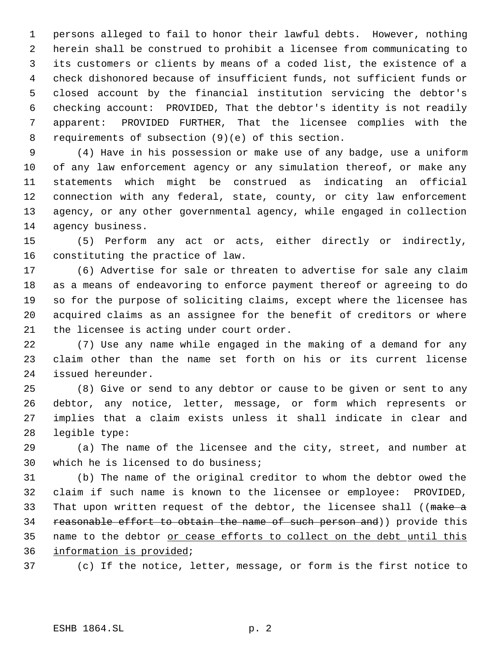persons alleged to fail to honor their lawful debts. However, nothing herein shall be construed to prohibit a licensee from communicating to its customers or clients by means of a coded list, the existence of a check dishonored because of insufficient funds, not sufficient funds or closed account by the financial institution servicing the debtor's checking account: PROVIDED, That the debtor's identity is not readily apparent: PROVIDED FURTHER, That the licensee complies with the requirements of subsection (9)(e) of this section.

 (4) Have in his possession or make use of any badge, use a uniform of any law enforcement agency or any simulation thereof, or make any statements which might be construed as indicating an official connection with any federal, state, county, or city law enforcement agency, or any other governmental agency, while engaged in collection agency business.

 (5) Perform any act or acts, either directly or indirectly, constituting the practice of law.

 (6) Advertise for sale or threaten to advertise for sale any claim as a means of endeavoring to enforce payment thereof or agreeing to do so for the purpose of soliciting claims, except where the licensee has acquired claims as an assignee for the benefit of creditors or where the licensee is acting under court order.

 (7) Use any name while engaged in the making of a demand for any claim other than the name set forth on his or its current license issued hereunder.

 (8) Give or send to any debtor or cause to be given or sent to any debtor, any notice, letter, message, or form which represents or implies that a claim exists unless it shall indicate in clear and legible type:

 (a) The name of the licensee and the city, street, and number at which he is licensed to do business;

 (b) The name of the original creditor to whom the debtor owed the claim if such name is known to the licensee or employee: PROVIDED, 33 That upon written request of the debtor, the licensee shall ((make a 34 reasonable effort to obtain the name of such person and)) provide this 35 name to the debtor or cease efforts to collect on the debt until this information is provided;

(c) If the notice, letter, message, or form is the first notice to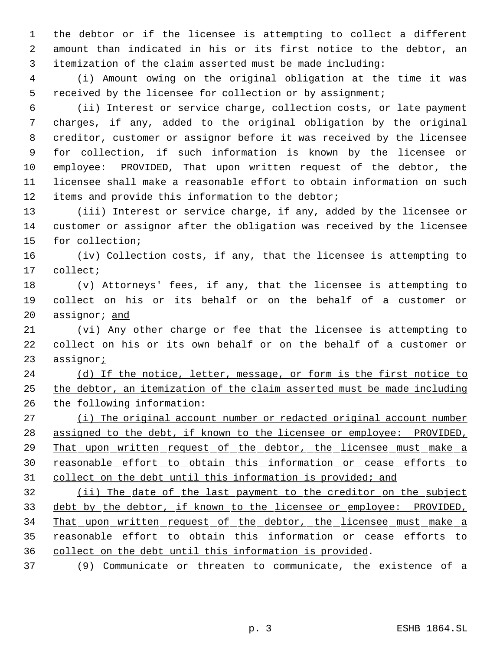the debtor or if the licensee is attempting to collect a different amount than indicated in his or its first notice to the debtor, an itemization of the claim asserted must be made including:

 (i) Amount owing on the original obligation at the time it was received by the licensee for collection or by assignment;

 (ii) Interest or service charge, collection costs, or late payment charges, if any, added to the original obligation by the original creditor, customer or assignor before it was received by the licensee for collection, if such information is known by the licensee or employee: PROVIDED, That upon written request of the debtor, the licensee shall make a reasonable effort to obtain information on such items and provide this information to the debtor;

 (iii) Interest or service charge, if any, added by the licensee or customer or assignor after the obligation was received by the licensee for collection;

 (iv) Collection costs, if any, that the licensee is attempting to collect;

 (v) Attorneys' fees, if any, that the licensee is attempting to collect on his or its behalf or on the behalf of a customer or 20 assignor; and

 (vi) Any other charge or fee that the licensee is attempting to collect on his or its own behalf or on the behalf of a customer or assignor;

24 (d) If the notice, letter, message, or form is the first notice to the debtor, an itemization of the claim asserted must be made including the following information:

27 (i) The original account number or redacted original account number assigned to the debt, if known to the licensee or employee: PROVIDED, 29 That upon written request of the debtor, the licensee must make a 30 reasonable effort to obtain this information or cease efforts to 31 collect on the debt until this information is provided; and

 (ii) The date of the last payment to the creditor on the subject debt by the debtor, if known to the licensee or employee: PROVIDED, 34 That upon written request of the debtor, the licensee must make a 35 reasonable effort to obtain this information or cease efforts to collect on the debt until this information is provided.

(9) Communicate or threaten to communicate, the existence of a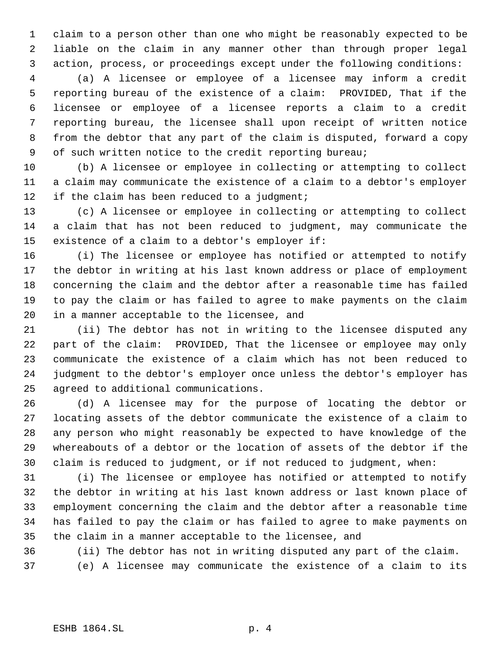claim to a person other than one who might be reasonably expected to be liable on the claim in any manner other than through proper legal action, process, or proceedings except under the following conditions:

 (a) A licensee or employee of a licensee may inform a credit reporting bureau of the existence of a claim: PROVIDED, That if the licensee or employee of a licensee reports a claim to a credit reporting bureau, the licensee shall upon receipt of written notice from the debtor that any part of the claim is disputed, forward a copy 9 of such written notice to the credit reporting bureau;

 (b) A licensee or employee in collecting or attempting to collect a claim may communicate the existence of a claim to a debtor's employer 12 if the claim has been reduced to a judgment;

 (c) A licensee or employee in collecting or attempting to collect a claim that has not been reduced to judgment, may communicate the existence of a claim to a debtor's employer if:

 (i) The licensee or employee has notified or attempted to notify the debtor in writing at his last known address or place of employment concerning the claim and the debtor after a reasonable time has failed to pay the claim or has failed to agree to make payments on the claim in a manner acceptable to the licensee, and

 (ii) The debtor has not in writing to the licensee disputed any part of the claim: PROVIDED, That the licensee or employee may only communicate the existence of a claim which has not been reduced to judgment to the debtor's employer once unless the debtor's employer has agreed to additional communications.

 (d) A licensee may for the purpose of locating the debtor or locating assets of the debtor communicate the existence of a claim to any person who might reasonably be expected to have knowledge of the whereabouts of a debtor or the location of assets of the debtor if the claim is reduced to judgment, or if not reduced to judgment, when:

 (i) The licensee or employee has notified or attempted to notify the debtor in writing at his last known address or last known place of employment concerning the claim and the debtor after a reasonable time has failed to pay the claim or has failed to agree to make payments on the claim in a manner acceptable to the licensee, and

(ii) The debtor has not in writing disputed any part of the claim.

(e) A licensee may communicate the existence of a claim to its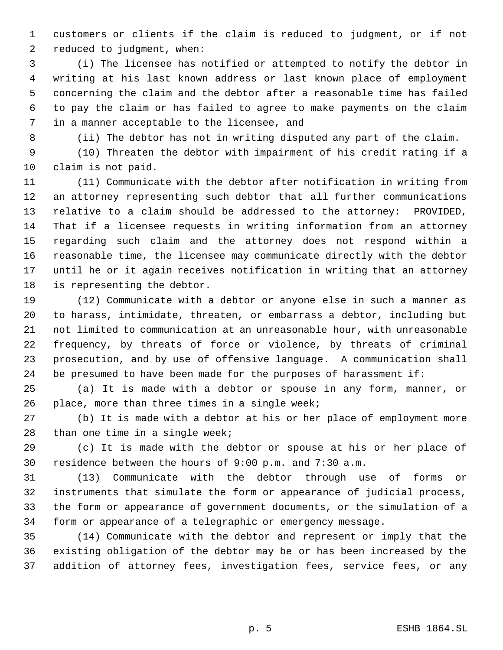customers or clients if the claim is reduced to judgment, or if not reduced to judgment, when:

 (i) The licensee has notified or attempted to notify the debtor in writing at his last known address or last known place of employment concerning the claim and the debtor after a reasonable time has failed to pay the claim or has failed to agree to make payments on the claim in a manner acceptable to the licensee, and

(ii) The debtor has not in writing disputed any part of the claim.

 (10) Threaten the debtor with impairment of his credit rating if a claim is not paid.

 (11) Communicate with the debtor after notification in writing from an attorney representing such debtor that all further communications relative to a claim should be addressed to the attorney: PROVIDED, That if a licensee requests in writing information from an attorney regarding such claim and the attorney does not respond within a reasonable time, the licensee may communicate directly with the debtor until he or it again receives notification in writing that an attorney is representing the debtor.

 (12) Communicate with a debtor or anyone else in such a manner as to harass, intimidate, threaten, or embarrass a debtor, including but not limited to communication at an unreasonable hour, with unreasonable frequency, by threats of force or violence, by threats of criminal prosecution, and by use of offensive language. A communication shall be presumed to have been made for the purposes of harassment if:

 (a) It is made with a debtor or spouse in any form, manner, or place, more than three times in a single week;

 (b) It is made with a debtor at his or her place of employment more than one time in a single week;

 (c) It is made with the debtor or spouse at his or her place of residence between the hours of 9:00 p.m. and 7:30 a.m.

 (13) Communicate with the debtor through use of forms or instruments that simulate the form or appearance of judicial process, the form or appearance of government documents, or the simulation of a form or appearance of a telegraphic or emergency message.

 (14) Communicate with the debtor and represent or imply that the existing obligation of the debtor may be or has been increased by the addition of attorney fees, investigation fees, service fees, or any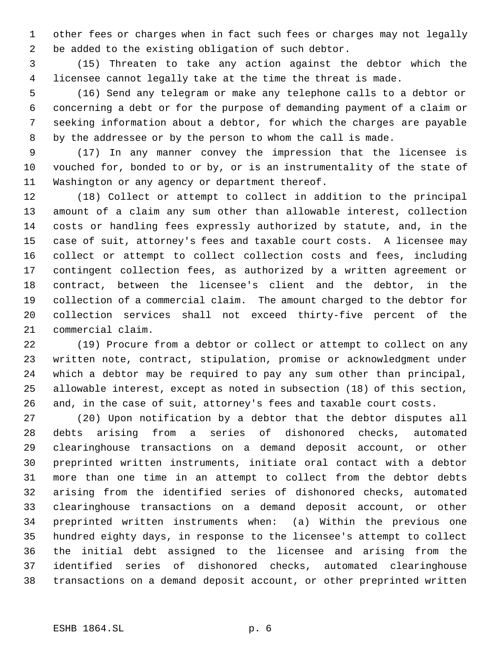other fees or charges when in fact such fees or charges may not legally be added to the existing obligation of such debtor.

 (15) Threaten to take any action against the debtor which the licensee cannot legally take at the time the threat is made.

 (16) Send any telegram or make any telephone calls to a debtor or concerning a debt or for the purpose of demanding payment of a claim or seeking information about a debtor, for which the charges are payable by the addressee or by the person to whom the call is made.

 (17) In any manner convey the impression that the licensee is vouched for, bonded to or by, or is an instrumentality of the state of Washington or any agency or department thereof.

 (18) Collect or attempt to collect in addition to the principal amount of a claim any sum other than allowable interest, collection costs or handling fees expressly authorized by statute, and, in the case of suit, attorney's fees and taxable court costs. A licensee may collect or attempt to collect collection costs and fees, including contingent collection fees, as authorized by a written agreement or contract, between the licensee's client and the debtor, in the collection of a commercial claim. The amount charged to the debtor for collection services shall not exceed thirty-five percent of the commercial claim.

 (19) Procure from a debtor or collect or attempt to collect on any written note, contract, stipulation, promise or acknowledgment under which a debtor may be required to pay any sum other than principal, allowable interest, except as noted in subsection (18) of this section, and, in the case of suit, attorney's fees and taxable court costs.

 (20) Upon notification by a debtor that the debtor disputes all debts arising from a series of dishonored checks, automated clearinghouse transactions on a demand deposit account, or other preprinted written instruments, initiate oral contact with a debtor more than one time in an attempt to collect from the debtor debts arising from the identified series of dishonored checks, automated clearinghouse transactions on a demand deposit account, or other preprinted written instruments when: (a) Within the previous one hundred eighty days, in response to the licensee's attempt to collect the initial debt assigned to the licensee and arising from the identified series of dishonored checks, automated clearinghouse transactions on a demand deposit account, or other preprinted written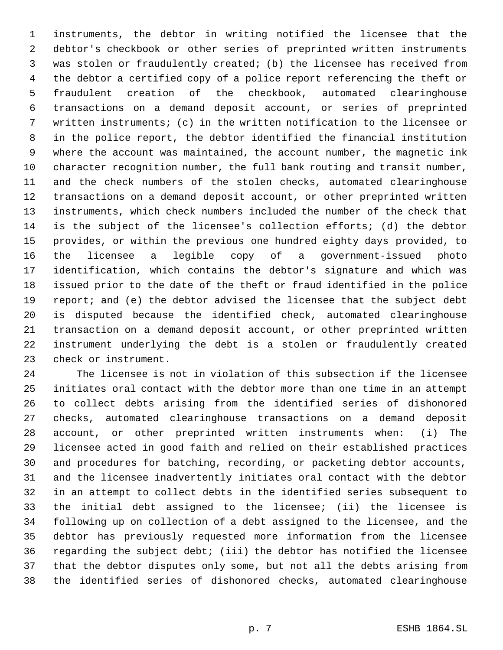instruments, the debtor in writing notified the licensee that the debtor's checkbook or other series of preprinted written instruments was stolen or fraudulently created; (b) the licensee has received from the debtor a certified copy of a police report referencing the theft or fraudulent creation of the checkbook, automated clearinghouse transactions on a demand deposit account, or series of preprinted written instruments; (c) in the written notification to the licensee or in the police report, the debtor identified the financial institution where the account was maintained, the account number, the magnetic ink character recognition number, the full bank routing and transit number, and the check numbers of the stolen checks, automated clearinghouse transactions on a demand deposit account, or other preprinted written instruments, which check numbers included the number of the check that is the subject of the licensee's collection efforts; (d) the debtor provides, or within the previous one hundred eighty days provided, to the licensee a legible copy of a government-issued photo identification, which contains the debtor's signature and which was issued prior to the date of the theft or fraud identified in the police report; and (e) the debtor advised the licensee that the subject debt is disputed because the identified check, automated clearinghouse transaction on a demand deposit account, or other preprinted written instrument underlying the debt is a stolen or fraudulently created check or instrument.

 The licensee is not in violation of this subsection if the licensee initiates oral contact with the debtor more than one time in an attempt to collect debts arising from the identified series of dishonored checks, automated clearinghouse transactions on a demand deposit account, or other preprinted written instruments when: (i) The licensee acted in good faith and relied on their established practices and procedures for batching, recording, or packeting debtor accounts, and the licensee inadvertently initiates oral contact with the debtor in an attempt to collect debts in the identified series subsequent to the initial debt assigned to the licensee; (ii) the licensee is following up on collection of a debt assigned to the licensee, and the debtor has previously requested more information from the licensee regarding the subject debt; (iii) the debtor has notified the licensee that the debtor disputes only some, but not all the debts arising from the identified series of dishonored checks, automated clearinghouse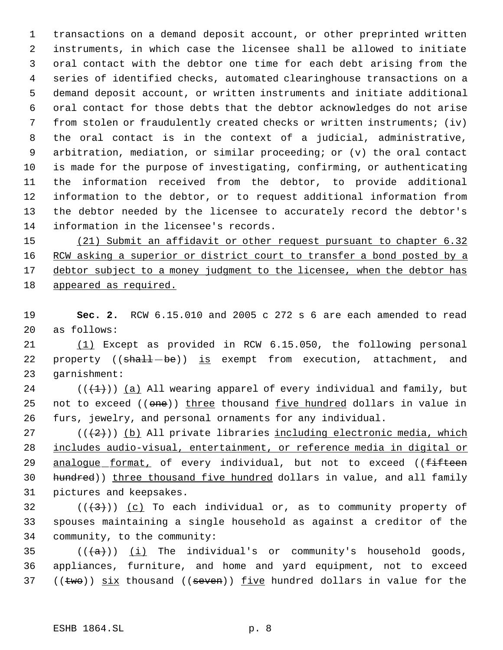transactions on a demand deposit account, or other preprinted written instruments, in which case the licensee shall be allowed to initiate oral contact with the debtor one time for each debt arising from the series of identified checks, automated clearinghouse transactions on a demand deposit account, or written instruments and initiate additional oral contact for those debts that the debtor acknowledges do not arise from stolen or fraudulently created checks or written instruments; (iv) the oral contact is in the context of a judicial, administrative, arbitration, mediation, or similar proceeding; or (v) the oral contact is made for the purpose of investigating, confirming, or authenticating the information received from the debtor, to provide additional information to the debtor, or to request additional information from the debtor needed by the licensee to accurately record the debtor's information in the licensee's records.

 (21) Submit an affidavit or other request pursuant to chapter 6.32 16 RCW asking a superior or district court to transfer a bond posted by a 17 debtor subject to a money judgment to the licensee, when the debtor has appeared as required.

 **Sec. 2.** RCW 6.15.010 and 2005 c 272 s 6 are each amended to read as follows:

 (1) Except as provided in RCW 6.15.050, the following personal 22 property ((shall-be)) is exempt from execution, attachment, and garnishment:

24 ( $(\overline{+1})$ ) (a) All wearing apparel of every individual and family, but 25 not to exceed ((one)) three thousand five hundred dollars in value in furs, jewelry, and personal ornaments for any individual.

 ( $(\frac{2}{2})$ ) (b) All private libraries including electronic media, which includes audio-visual, entertainment, or reference media in digital or 29 analogue format, of every individual, but not to exceed ((fifteen 30 hundred)) three thousand five hundred dollars in value, and all family pictures and keepsakes.

32  $((+3))$   $(c)$  To each individual or, as to community property of spouses maintaining a single household as against a creditor of the community, to the community:

35  $((+a))$  (i) The individual's or community's household goods, appliances, furniture, and home and yard equipment, not to exceed 37 (( $t$ wo)) six thousand (( $s$ even)) five hundred dollars in value for the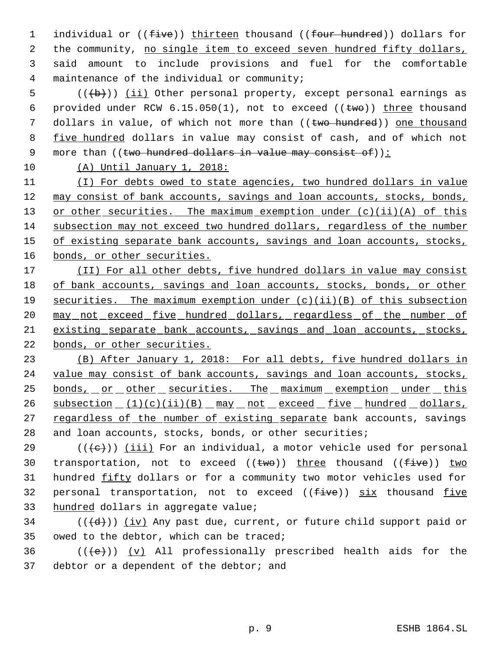1 individual or (( $five$ )) thirteen thousand (( $four$  hundred)) dollars for the community, no single item to exceed seven hundred fifty dollars, said amount to include provisions and fuel for the comfortable maintenance of the individual or community;

 $5$  (( $\left(\frac{1}{b}\right)$ ) (ii) Other personal property, except personal earnings as 6 provided under RCW  $6.15.050(1)$ , not to exceed  $((\text{two}))$  three thousand 7 dollars in value, of which not more than ((two hundred)) one thousand 8 five hundred dollars in value may consist of cash, and of which not 9 more than ((two hundred dollars in value may consist of)):

10 (A) Until January 1, 2018:

11 (I) For debts owed to state agencies, two hundred dollars in value 12 may consist of bank accounts, savings and loan accounts, stocks, bonds, 13 or other securities. The maximum exemption under (c)(ii)(A) of this 14 subsection may not exceed two hundred dollars, regardless of the number 15 of existing separate bank accounts, savings and loan accounts, stocks, 16 bonds, or other securities.

 (II) For all other debts, five hundred dollars in value may consist 18 of bank accounts, savings and loan accounts, stocks, bonds, or other securities. The maximum exemption under (c)(ii)(B) of this subsection 20 may not exceed five hundred dollars, regardless of the number of existing separate bank accounts, savings and loan accounts, stocks, bonds, or other securities.

23 (B) After January 1, 2018: For all debts, five hundred dollars in 24 value may consist of bank accounts, savings and loan accounts, stocks, 25 bonds, or other securities. The maximum exemption under this 26 subsection (1)(c)(ii)(B) may not exceed five hundred dollars, 27 regardless of the number of existing separate bank accounts, savings 28 and loan accounts, stocks, bonds, or other securities;

29 ( $(\langle e \rangle)$ ) (iii) For an individual, a motor vehicle used for personal 30 transportation, not to exceed  $((\text{two})$ ) three thousand  $((\text{five}))$  two 31 hundred fifty dollars or for a community two motor vehicles used for 32 personal transportation, not to exceed  $(\text{five})$  six thousand five 33 hundred dollars in aggregate value;

34 ( $(\langle d \rangle)$ ) (iv) Any past due, current, or future child support paid or 35 owed to the debtor, which can be traced;

36  $((\text{+e})^2)$  (v) All professionally prescribed health aids for the 37 debtor or a dependent of the debtor; and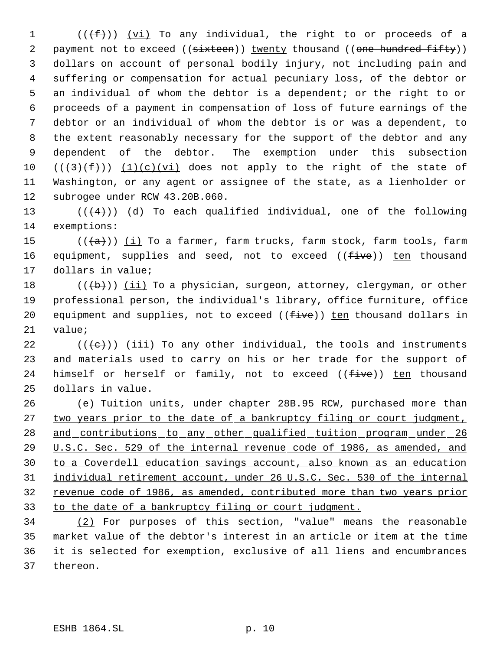$((\text{#}))$   $(yi)$  To any individual, the right to or proceeds of a 2 payment not to exceed ((sixteen)) twenty thousand ((one hundred fifty)) dollars on account of personal bodily injury, not including pain and suffering or compensation for actual pecuniary loss, of the debtor or an individual of whom the debtor is a dependent; or the right to or proceeds of a payment in compensation of loss of future earnings of the debtor or an individual of whom the debtor is or was a dependent, to the extent reasonably necessary for the support of the debtor and any dependent of the debtor. The exemption under this subsection  $((+3)+(f))$   $(1)(c)(vi)$  does not apply to the right of the state of Washington, or any agent or assignee of the state, as a lienholder or subrogee under RCW 43.20B.060.

13  $((+4))$   $(d)$  To each qualified individual, one of the following exemptions:

15  $((+a))$   $(i)$  To a farmer, farm trucks, farm stock, farm tools, farm 16 equipment, supplies and seed, not to exceed ((five)) ten thousand dollars in value;

18  $((+b))$   $(i)$  To a physician, surgeon, attorney, clergyman, or other professional person, the individual's library, office furniture, office 20 equipment and supplies, not to exceed ( $(f\text{-}ive)$ ) ten thousand dollars in value;

 $((\{e\})$  (iii) To any other individual, the tools and instruments and materials used to carry on his or her trade for the support of 24 himself or herself or family, not to exceed ((five)) ten thousand dollars in value.

 (e) Tuition units, under chapter 28B.95 RCW, purchased more than 27 two years prior to the date of a bankruptcy filing or court judgment, 28 and contributions to any other qualified tuition program under 26 U.S.C. Sec. 529 of the internal revenue code of 1986, as amended, and to a Coverdell education savings account, also known as an education individual retirement account, under 26 U.S.C. Sec. 530 of the internal revenue code of 1986, as amended, contributed more than two years prior to the date of a bankruptcy filing or court judgment.

 (2) For purposes of this section, "value" means the reasonable market value of the debtor's interest in an article or item at the time it is selected for exemption, exclusive of all liens and encumbrances thereon.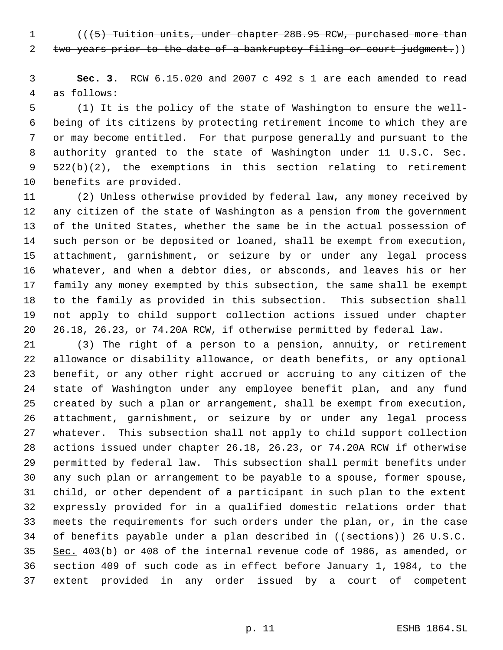1 (( $(5)$  Tuition units, under chapter 28B.95 RCW, purchased more than 2 two years prior to the date of a bankruptcy filing or court judgment.))

 **Sec. 3.** RCW 6.15.020 and 2007 c 492 s 1 are each amended to read as follows:

 (1) It is the policy of the state of Washington to ensure the well- being of its citizens by protecting retirement income to which they are or may become entitled. For that purpose generally and pursuant to the authority granted to the state of Washington under 11 U.S.C. Sec. 522(b)(2), the exemptions in this section relating to retirement benefits are provided.

 (2) Unless otherwise provided by federal law, any money received by any citizen of the state of Washington as a pension from the government of the United States, whether the same be in the actual possession of such person or be deposited or loaned, shall be exempt from execution, attachment, garnishment, or seizure by or under any legal process whatever, and when a debtor dies, or absconds, and leaves his or her family any money exempted by this subsection, the same shall be exempt to the family as provided in this subsection. This subsection shall not apply to child support collection actions issued under chapter 26.18, 26.23, or 74.20A RCW, if otherwise permitted by federal law.

 (3) The right of a person to a pension, annuity, or retirement allowance or disability allowance, or death benefits, or any optional benefit, or any other right accrued or accruing to any citizen of the state of Washington under any employee benefit plan, and any fund created by such a plan or arrangement, shall be exempt from execution, attachment, garnishment, or seizure by or under any legal process whatever. This subsection shall not apply to child support collection actions issued under chapter 26.18, 26.23, or 74.20A RCW if otherwise permitted by federal law. This subsection shall permit benefits under any such plan or arrangement to be payable to a spouse, former spouse, child, or other dependent of a participant in such plan to the extent expressly provided for in a qualified domestic relations order that meets the requirements for such orders under the plan, or, in the case 34 of benefits payable under a plan described in ((sections)) 26 U.S.C. Sec. 403(b) or 408 of the internal revenue code of 1986, as amended, or section 409 of such code as in effect before January 1, 1984, to the extent provided in any order issued by a court of competent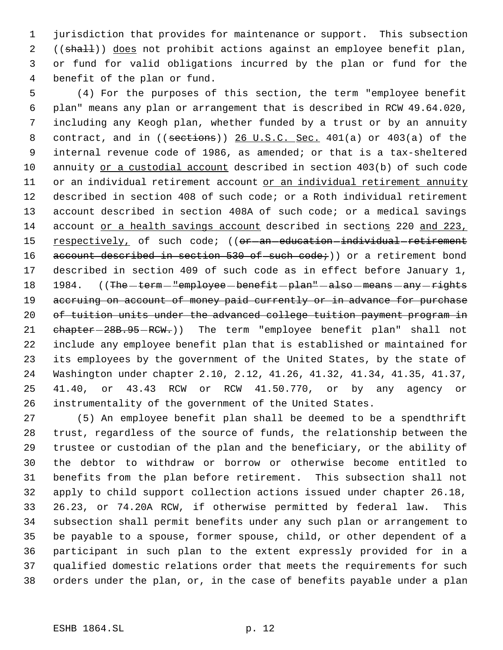jurisdiction that provides for maintenance or support. This subsection 2 ((shall)) does not prohibit actions against an employee benefit plan, or fund for valid obligations incurred by the plan or fund for the benefit of the plan or fund.

 (4) For the purposes of this section, the term "employee benefit plan" means any plan or arrangement that is described in RCW 49.64.020, including any Keogh plan, whether funded by a trust or by an annuity 8 contract, and in ((sections)) 26 U.S.C. Sec. 401(a) or 403(a) of the internal revenue code of 1986, as amended; or that is a tax-sheltered annuity or a custodial account described in section 403(b) of such code or an individual retirement account or an individual retirement annuity described in section 408 of such code; or a Roth individual retirement account described in section 408A of such code; or a medical savings 14 account or a health savings account described in sections 220 and 223, 15 respectively, of such code; ((or-an-education-individual-retirement 16 account described in section 530 of such code; ) or a retirement bond described in section 409 of such code as in effect before January 1, 18 1984. ((The -term - "employee - benefit - plan" - also - means - any - rights 19 accruing on account of money paid currently or in advance for purchase of tuition units under the advanced college tuition payment program in 21 chapter-28B.95-RCW.)) The term "employee benefit plan" shall not include any employee benefit plan that is established or maintained for its employees by the government of the United States, by the state of Washington under chapter 2.10, 2.12, 41.26, 41.32, 41.34, 41.35, 41.37, 41.40, or 43.43 RCW or RCW 41.50.770, or by any agency or instrumentality of the government of the United States.

 (5) An employee benefit plan shall be deemed to be a spendthrift trust, regardless of the source of funds, the relationship between the trustee or custodian of the plan and the beneficiary, or the ability of the debtor to withdraw or borrow or otherwise become entitled to benefits from the plan before retirement. This subsection shall not apply to child support collection actions issued under chapter 26.18, 26.23, or 74.20A RCW, if otherwise permitted by federal law. This subsection shall permit benefits under any such plan or arrangement to be payable to a spouse, former spouse, child, or other dependent of a participant in such plan to the extent expressly provided for in a qualified domestic relations order that meets the requirements for such orders under the plan, or, in the case of benefits payable under a plan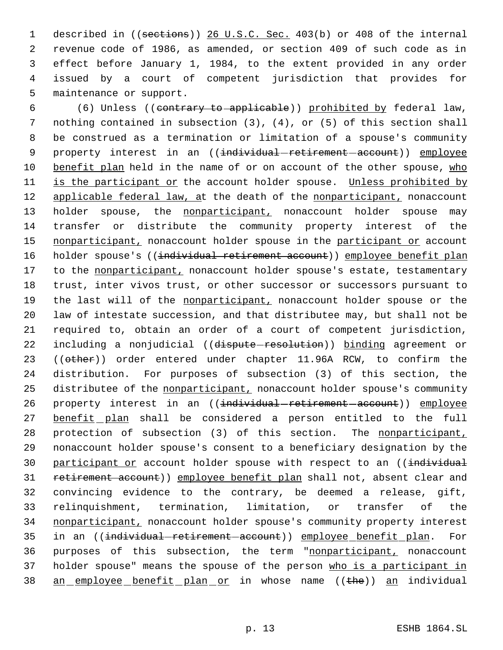described in ((sections)) 26 U.S.C. Sec. 403(b) or 408 of the internal revenue code of 1986, as amended, or section 409 of such code as in effect before January 1, 1984, to the extent provided in any order issued by a court of competent jurisdiction that provides for maintenance or support.

 6 (6) Unless ((contrary to applicable)) prohibited by federal law, 7 nothing contained in subsection (3), (4), or (5) of this section shall 8 be construed as a termination or limitation of a spouse's community 9 property interest in an ((individual-retirement-account)) employee 10 benefit plan held in the name of or on account of the other spouse, who 11 is the participant or the account holder spouse. Unless prohibited by 12 applicable federal law, at the death of the nonparticipant, nonaccount 13 holder spouse, the nonparticipant, nonaccount holder spouse may 14 transfer or distribute the community property interest of the 15 nonparticipant, nonaccount holder spouse in the participant or account 16 holder spouse's ((individual retirement account)) employee benefit plan 17 to the nonparticipant, nonaccount holder spouse's estate, testamentary 18 trust, inter vivos trust, or other successor or successors pursuant to 19 the last will of the nonparticipant, nonaccount holder spouse or the 20 law of intestate succession, and that distributee may, but shall not be 21 required to, obtain an order of a court of competent jurisdiction, 22 including a nonjudicial ((dispute-resolution)) binding agreement or 23 ((other)) order entered under chapter 11.96A RCW, to confirm the 24 distribution. For purposes of subsection (3) of this section, the 25 distributee of the nonparticipant, nonaccount holder spouse's community 26 property interest in an ((individual-retirement-account)) employee 27 benefit plan shall be considered a person entitled to the full 28 protection of subsection (3) of this section. The nonparticipant, 29 nonaccount holder spouse's consent to a beneficiary designation by the 30 participant or account holder spouse with respect to an ((individual 31 retirement account)) employee benefit plan shall not, absent clear and 32 convincing evidence to the contrary, be deemed a release, gift, 33 relinquishment, termination, limitation, or transfer of the 34 nonparticipant, nonaccount holder spouse's community property interest 35 in an ((individual-retirement-account)) employee benefit plan. For 36 purposes of this subsection, the term "nonparticipant, nonaccount 37 holder spouse" means the spouse of the person who is a participant in 38 an employee benefit plan or in whose name ((the)) an individual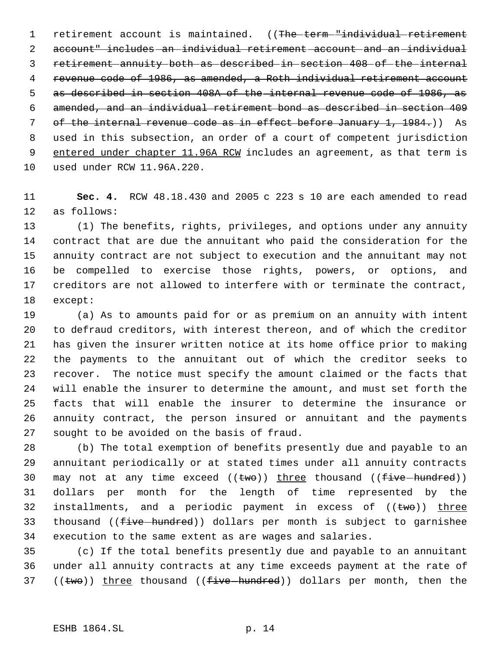1 retirement account is maintained. ((The term "individual retirement account" includes an individual retirement account and an individual retirement annuity both as described in section 408 of the internal revenue code of 1986, as amended, a Roth individual retirement account as described in section 408A of the internal revenue code of 1986, as amended, and an individual retirement bond as described in section 409 of the internal revenue code as in effect before January 1, 1984.)) As used in this subsection, an order of a court of competent jurisdiction 9 entered under chapter 11.96A RCW includes an agreement, as that term is used under RCW 11.96A.220.

 **Sec. 4.** RCW 48.18.430 and 2005 c 223 s 10 are each amended to read as follows:

 (1) The benefits, rights, privileges, and options under any annuity contract that are due the annuitant who paid the consideration for the annuity contract are not subject to execution and the annuitant may not be compelled to exercise those rights, powers, or options, and creditors are not allowed to interfere with or terminate the contract, except:

 (a) As to amounts paid for or as premium on an annuity with intent to defraud creditors, with interest thereon, and of which the creditor has given the insurer written notice at its home office prior to making the payments to the annuitant out of which the creditor seeks to recover. The notice must specify the amount claimed or the facts that will enable the insurer to determine the amount, and must set forth the facts that will enable the insurer to determine the insurance or annuity contract, the person insured or annuitant and the payments sought to be avoided on the basis of fraud.

 (b) The total exemption of benefits presently due and payable to an annuitant periodically or at stated times under all annuity contracts 30 may not at any time exceed  $((two))$  three thousand  $((five-hundred))$  dollars per month for the length of time represented by the 32 installments, and a periodic payment in excess of  $((\text{two}))$  three 33 thousand ((five hundred)) dollars per month is subject to garnishee execution to the same extent as are wages and salaries.

 (c) If the total benefits presently due and payable to an annuitant under all annuity contracts at any time exceeds payment at the rate of 37 (( $\epsilon$ wo)) three thousand (( $\epsilon$ ive hundred)) dollars per month, then the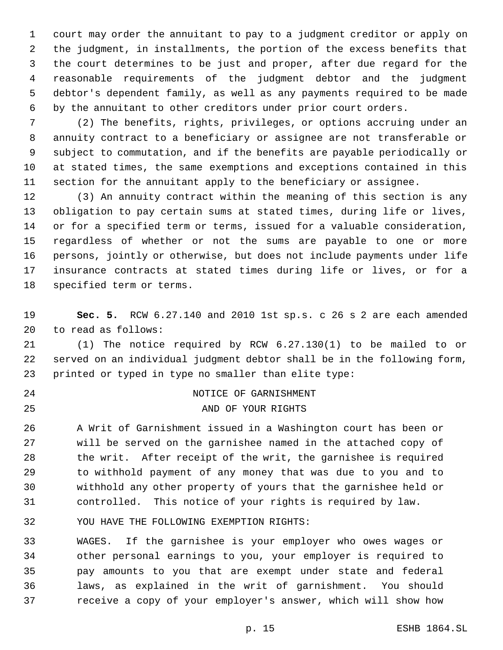court may order the annuitant to pay to a judgment creditor or apply on the judgment, in installments, the portion of the excess benefits that the court determines to be just and proper, after due regard for the reasonable requirements of the judgment debtor and the judgment debtor's dependent family, as well as any payments required to be made by the annuitant to other creditors under prior court orders.

 (2) The benefits, rights, privileges, or options accruing under an annuity contract to a beneficiary or assignee are not transferable or subject to commutation, and if the benefits are payable periodically or at stated times, the same exemptions and exceptions contained in this section for the annuitant apply to the beneficiary or assignee.

 (3) An annuity contract within the meaning of this section is any obligation to pay certain sums at stated times, during life or lives, or for a specified term or terms, issued for a valuable consideration, regardless of whether or not the sums are payable to one or more persons, jointly or otherwise, but does not include payments under life insurance contracts at stated times during life or lives, or for a specified term or terms.

 **Sec. 5.** RCW 6.27.140 and 2010 1st sp.s. c 26 s 2 are each amended to read as follows:

 (1) The notice required by RCW 6.27.130(1) to be mailed to or served on an individual judgment debtor shall be in the following form, printed or typed in type no smaller than elite type:

 NOTICE OF GARNISHMENT 25 AND OF YOUR RIGHTS

 A Writ of Garnishment issued in a Washington court has been or will be served on the garnishee named in the attached copy of the writ. After receipt of the writ, the garnishee is required to withhold payment of any money that was due to you and to withhold any other property of yours that the garnishee held or controlled. This notice of your rights is required by law.

YOU HAVE THE FOLLOWING EXEMPTION RIGHTS:

 WAGES. If the garnishee is your employer who owes wages or other personal earnings to you, your employer is required to pay amounts to you that are exempt under state and federal laws, as explained in the writ of garnishment. You should receive a copy of your employer's answer, which will show how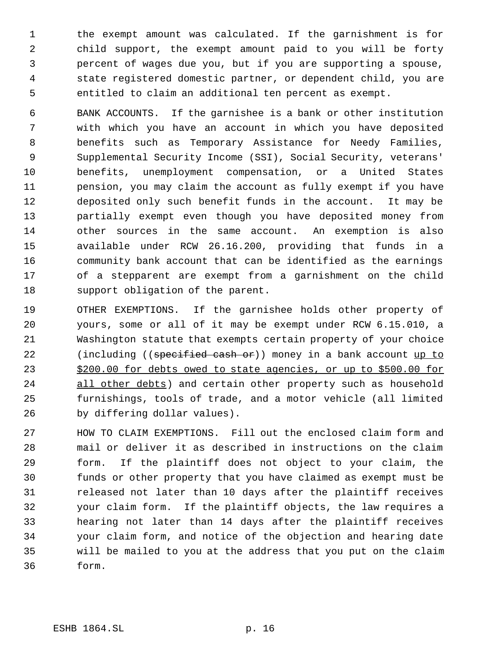the exempt amount was calculated. If the garnishment is for child support, the exempt amount paid to you will be forty percent of wages due you, but if you are supporting a spouse, state registered domestic partner, or dependent child, you are entitled to claim an additional ten percent as exempt.

 BANK ACCOUNTS. If the garnishee is a bank or other institution with which you have an account in which you have deposited benefits such as Temporary Assistance for Needy Families, Supplemental Security Income (SSI), Social Security, veterans' benefits, unemployment compensation, or a United States pension, you may claim the account as fully exempt if you have deposited only such benefit funds in the account. It may be partially exempt even though you have deposited money from other sources in the same account. An exemption is also available under RCW 26.16.200, providing that funds in a community bank account that can be identified as the earnings of a stepparent are exempt from a garnishment on the child support obligation of the parent.

 OTHER EXEMPTIONS. If the garnishee holds other property of yours, some or all of it may be exempt under RCW 6.15.010, a Washington statute that exempts certain property of your choice 22 (including ((specified cash or)) money in a bank account up to 23 \$200.00 for debts owed to state agencies, or up to \$500.00 for all other debts) and certain other property such as household furnishings, tools of trade, and a motor vehicle (all limited by differing dollar values).

 HOW TO CLAIM EXEMPTIONS. Fill out the enclosed claim form and mail or deliver it as described in instructions on the claim form. If the plaintiff does not object to your claim, the funds or other property that you have claimed as exempt must be released not later than 10 days after the plaintiff receives your claim form. If the plaintiff objects, the law requires a hearing not later than 14 days after the plaintiff receives your claim form, and notice of the objection and hearing date will be mailed to you at the address that you put on the claim form.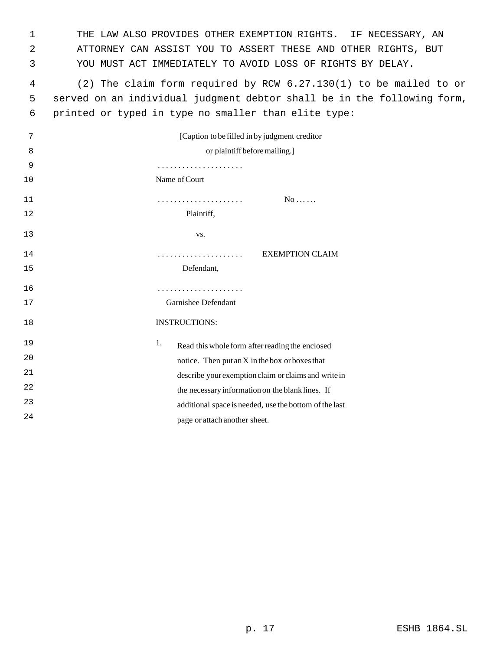THE LAW ALSO PROVIDES OTHER EXEMPTION RIGHTS. IF NECESSARY, AN ATTORNEY CAN ASSIST YOU TO ASSERT THESE AND OTHER RIGHTS, BUT YOU MUST ACT IMMEDIATELY TO AVOID LOSS OF RIGHTS BY DELAY.

 (2) The claim form required by RCW 6.27.130(1) to be mailed to or served on an individual judgment debtor shall be in the following form, printed or typed in type no smaller than elite type:

| 7  | [Caption to be filled in by judgment creditor]         |
|----|--------------------------------------------------------|
| 8  | or plaintiff before mailing.]                          |
| 9  |                                                        |
| 10 | Name of Court                                          |
| 11 | $No$                                                   |
| 12 | Plaintiff,                                             |
| 13 | VS.                                                    |
| 14 | <b>EXEMPTION CLAIM</b><br>.                            |
| 15 | Defendant,                                             |
| 16 | .                                                      |
| 17 | Garnishee Defendant                                    |
| 18 | <b>INSTRUCTIONS:</b>                                   |
| 19 | 1.<br>Read this whole form after reading the enclosed  |
| 20 | notice. Then put an X in the box or boxes that         |
| 21 | describe your exemption claim or claims and write in   |
| 22 | the necessary information on the blank lines. If       |
| 23 | additional space is needed, use the bottom of the last |
| 24 | page or attach another sheet.                          |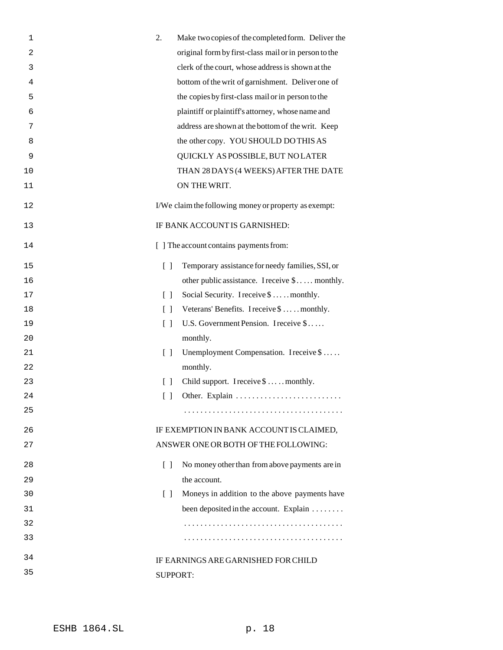| 1  | 2.<br>Make two copies of the completed form. Deliver the                            |
|----|-------------------------------------------------------------------------------------|
| 2  | original form by first-class mail or in person to the                               |
| 3  | clerk of the court, whose address is shown at the                                   |
| 4  | bottom of the writ of garnishment. Deliver one of                                   |
| 5  | the copies by first-class mail or in person to the                                  |
| 6  | plaintiff or plaintiff's attorney, whose name and                                   |
| 7  | address are shown at the bottom of the writ. Keep                                   |
| 8  | the other copy. YOU SHOULD DO THIS AS                                               |
| 9  | QUICKLY AS POSSIBLE, BUT NO LATER                                                   |
| 10 | THAN 28 DAYS (4 WEEKS) AFTER THE DATE                                               |
| 11 | ON THE WRIT.                                                                        |
| 12 | I/We claim the following money or property as exempt:                               |
| 13 | IF BANK ACCOUNT IS GARNISHED:                                                       |
| 14 | [ ] The account contains payments from:                                             |
| 15 | Temporary assistance for needy families, SSI, or<br>$\begin{bmatrix} \end{bmatrix}$ |
| 16 | other public assistance. I receive \$ monthly.                                      |
| 17 | Social Security. I receive \$  monthly.<br>$\lceil$ $\rceil$                        |
| 18 | Veterans' Benefits. I receive \$  monthly.<br>$\begin{bmatrix} 1 \end{bmatrix}$     |
| 19 | U.S. Government Pension. I receive \$<br>$\begin{bmatrix} 1 \end{bmatrix}$          |
| 20 | monthly.                                                                            |
| 21 | Unemployment Compensation. I receive \$<br>$\lceil$ $\rceil$                        |
| 22 | monthly.                                                                            |
| 23 | Child support. I receive \$  monthly.<br>$\lceil$ $\rceil$                          |
| 24 | $\begin{bmatrix} \end{bmatrix}$                                                     |
| 25 |                                                                                     |
| 26 | IF EXEMPTION IN BANK ACCOUNT IS CLAIMED,                                            |
| 27 | ANSWER ONE OR BOTH OF THE FOLLOWING:                                                |
| 28 | No money other than from above payments are in<br>$\Box$                            |
| 29 | the account.                                                                        |
| 30 | Moneys in addition to the above payments have<br>$\Box$                             |
| 31 | been deposited in the account. Explain                                              |
| 32 |                                                                                     |
| 33 |                                                                                     |
| 34 | IF EARNINGS ARE GARNISHED FOR CHILD                                                 |
| 35 | <b>SUPPORT:</b>                                                                     |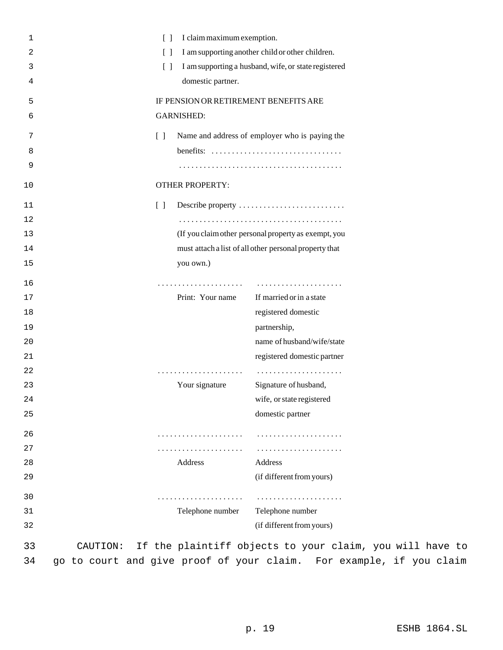| 1              |          | $\lceil$ $\rceil$                 | I claim maximum exemption.                     |                                                                               |  |
|----------------|----------|-----------------------------------|------------------------------------------------|-------------------------------------------------------------------------------|--|
| $\overline{2}$ |          | $\lceil$ $\rceil$                 |                                                | I am supporting another child or other children.                              |  |
| 3              |          | $\lceil$ $\rceil$                 |                                                | I am supporting a husband, wife, or state registered                          |  |
| 4              |          |                                   | domestic partner.                              |                                                                               |  |
| 5              |          |                                   | IF PENSION OR RETIREMENT BENEFITS ARE          |                                                                               |  |
| 6              |          |                                   | <b>GARNISHED:</b>                              |                                                                               |  |
| 7              |          | $\lceil$ $\rceil$                 | Name and address of employer who is paying the |                                                                               |  |
| 8              |          |                                   |                                                | benefits: $\dots\dots\dots\dots\dots\dots\dots\dots\dots\dots\dots\dots\dots$ |  |
| 9              |          |                                   |                                                |                                                                               |  |
| 10             |          |                                   | <b>OTHER PROPERTY:</b>                         |                                                                               |  |
| 11             |          | $\begin{bmatrix} 1 \end{bmatrix}$ |                                                | Describe property                                                             |  |
| 12             |          |                                   |                                                |                                                                               |  |
| 13             |          |                                   |                                                | (If you claim other personal property as exempt, you                          |  |
| 14             |          |                                   |                                                | must attach a list of all other personal property that                        |  |
| 15             |          |                                   | you own.)                                      |                                                                               |  |
| 16             |          |                                   |                                                |                                                                               |  |
| 17             |          |                                   | Print: Your name                               | If married or in a state                                                      |  |
| 18             |          |                                   |                                                | registered domestic                                                           |  |
| 19             |          |                                   |                                                | partnership,                                                                  |  |
| 20             |          |                                   |                                                | name of husband/wife/state                                                    |  |
| 21             |          |                                   |                                                | registered domestic partner                                                   |  |
| 22             |          |                                   | .                                              |                                                                               |  |
| 23             |          |                                   | Your signature                                 | Signature of husband,                                                         |  |
| 24             |          |                                   |                                                | wife, or state registered                                                     |  |
| 25             |          |                                   |                                                | domestic partner                                                              |  |
| 26             |          |                                   |                                                |                                                                               |  |
| 27             |          |                                   | .                                              |                                                                               |  |
| 28             |          |                                   | Address                                        | Address                                                                       |  |
| 29             |          |                                   |                                                | (if different from yours)                                                     |  |
| 30             |          |                                   | .                                              | .                                                                             |  |
| 31             |          |                                   | Telephone number                               | Telephone number                                                              |  |
| 32             |          |                                   |                                                | (if different from yours)                                                     |  |
| 33             | CAUTION: |                                   |                                                | If the plaintiff objects to your claim,                                       |  |

you will have to 34 go to court and give proof of your claim. For example, if you claim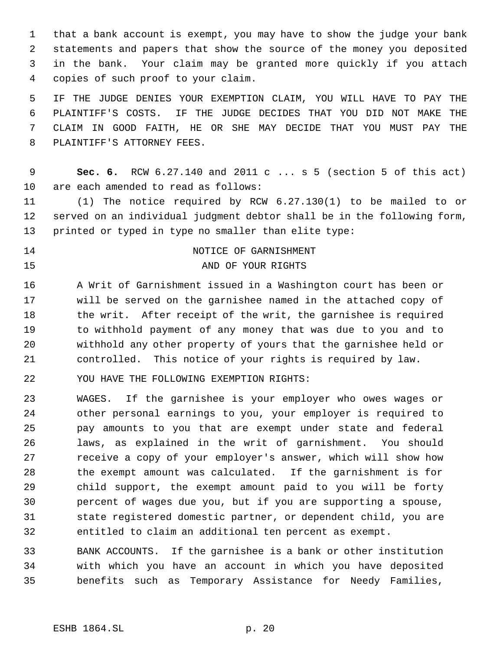that a bank account is exempt, you may have to show the judge your bank statements and papers that show the source of the money you deposited in the bank. Your claim may be granted more quickly if you attach copies of such proof to your claim.

 IF THE JUDGE DENIES YOUR EXEMPTION CLAIM, YOU WILL HAVE TO PAY THE PLAINTIFF'S COSTS. IF THE JUDGE DECIDES THAT YOU DID NOT MAKE THE CLAIM IN GOOD FAITH, HE OR SHE MAY DECIDE THAT YOU MUST PAY THE PLAINTIFF'S ATTORNEY FEES.

 **Sec. 6.** RCW 6.27.140 and 2011 c ... s 5 (section 5 of this act) are each amended to read as follows:

 (1) The notice required by RCW 6.27.130(1) to be mailed to or served on an individual judgment debtor shall be in the following form, printed or typed in type no smaller than elite type:

14 NOTICE OF GARNISHMENT 15 AND OF YOUR RIGHTS

 A Writ of Garnishment issued in a Washington court has been or will be served on the garnishee named in the attached copy of 18 the writ. After receipt of the writ, the garnishee is required to withhold payment of any money that was due to you and to withhold any other property of yours that the garnishee held or controlled. This notice of your rights is required by law.

YOU HAVE THE FOLLOWING EXEMPTION RIGHTS:

 WAGES. If the garnishee is your employer who owes wages or other personal earnings to you, your employer is required to pay amounts to you that are exempt under state and federal laws, as explained in the writ of garnishment. You should receive a copy of your employer's answer, which will show how the exempt amount was calculated. If the garnishment is for child support, the exempt amount paid to you will be forty percent of wages due you, but if you are supporting a spouse, state registered domestic partner, or dependent child, you are entitled to claim an additional ten percent as exempt.

 BANK ACCOUNTS. If the garnishee is a bank or other institution with which you have an account in which you have deposited benefits such as Temporary Assistance for Needy Families,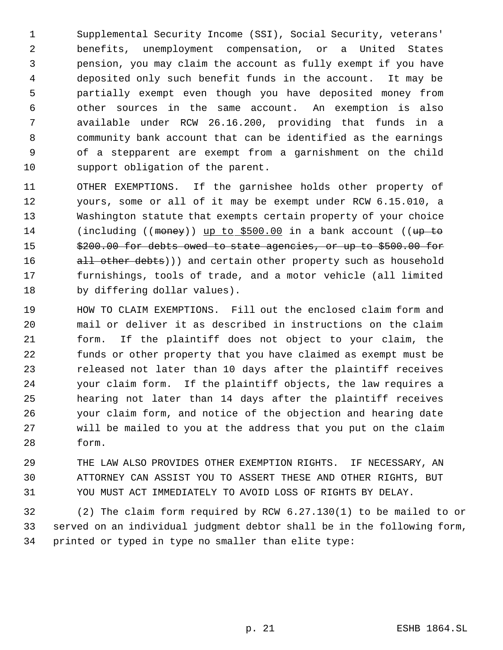Supplemental Security Income (SSI), Social Security, veterans' benefits, unemployment compensation, or a United States pension, you may claim the account as fully exempt if you have deposited only such benefit funds in the account. It may be partially exempt even though you have deposited money from other sources in the same account. An exemption is also available under RCW 26.16.200, providing that funds in a community bank account that can be identified as the earnings of a stepparent are exempt from a garnishment on the child support obligation of the parent.

- OTHER EXEMPTIONS. If the garnishee holds other property of yours, some or all of it may be exempt under RCW 6.15.010, a Washington statute that exempts certain property of your choice 14 (including ((money)) up to \$500.00 in a bank account ((up to 15  $$200.00$  for debts owed to state agencies, or up to \$500.00 for 16 all other debts))) and certain other property such as household furnishings, tools of trade, and a motor vehicle (all limited by differing dollar values).
- HOW TO CLAIM EXEMPTIONS. Fill out the enclosed claim form and mail or deliver it as described in instructions on the claim form. If the plaintiff does not object to your claim, the funds or other property that you have claimed as exempt must be released not later than 10 days after the plaintiff receives your claim form. If the plaintiff objects, the law requires a hearing not later than 14 days after the plaintiff receives your claim form, and notice of the objection and hearing date will be mailed to you at the address that you put on the claim form.
- THE LAW ALSO PROVIDES OTHER EXEMPTION RIGHTS. IF NECESSARY, AN ATTORNEY CAN ASSIST YOU TO ASSERT THESE AND OTHER RIGHTS, BUT YOU MUST ACT IMMEDIATELY TO AVOID LOSS OF RIGHTS BY DELAY.

 (2) The claim form required by RCW 6.27.130(1) to be mailed to or served on an individual judgment debtor shall be in the following form, printed or typed in type no smaller than elite type: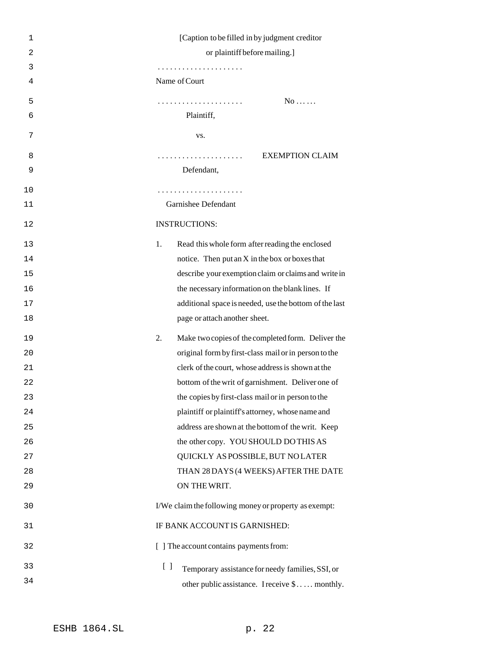| 1              | [Caption to be filled in by judgment creditor                                       |
|----------------|-------------------------------------------------------------------------------------|
| $\overline{2}$ | or plaintiff before mailing.]                                                       |
| 3              |                                                                                     |
| 4              | Name of Court                                                                       |
| 5              | $No \ldots$<br>.                                                                    |
| 6              | Plaintiff,                                                                          |
| 7              | VS.                                                                                 |
| 8              | <b>EXEMPTION CLAIM</b>                                                              |
| 9              | Defendant,                                                                          |
| 10             | .                                                                                   |
| 11             | Garnishee Defendant                                                                 |
| 12             | <b>INSTRUCTIONS:</b>                                                                |
| 13             | 1.<br>Read this whole form after reading the enclosed                               |
| 14             | notice. Then put an X in the box or boxes that                                      |
| 15             | describe your exemption claim or claims and write in                                |
| 16             | the necessary information on the blank lines. If                                    |
| 17             | additional space is needed, use the bottom of the last                              |
| 18             | page or attach another sheet.                                                       |
| 19             | Make two copies of the completed form. Deliver the<br>2.                            |
| 20             | original form by first-class mail or in person to the                               |
| 21             | clerk of the court, whose address is shown at the                                   |
| 22             | bottom of the writ of garnishment. Deliver one of                                   |
| 23             | the copies by first-class mail or in person to the                                  |
| 24             | plaintiff or plaintiff's attorney, whose name and                                   |
| 25             | address are shown at the bottom of the writ. Keep                                   |
| 26             | the other copy. YOU SHOULD DO THIS AS                                               |
| 27             | QUICKLY AS POSSIBLE, BUT NO LATER                                                   |
| 28             | THAN 28 DAYS (4 WEEKS) AFTER THE DATE                                               |
| 29             | ON THE WRIT.                                                                        |
| 30             | I/We claim the following money or property as exempt:                               |
| 31             | IF BANK ACCOUNT IS GARNISHED:                                                       |
| 32             | [ ] The account contains payments from:                                             |
| 33             | $\begin{bmatrix} \end{bmatrix}$<br>Temporary assistance for needy families, SSI, or |
| 34             | other public assistance. I receive \$ monthly.                                      |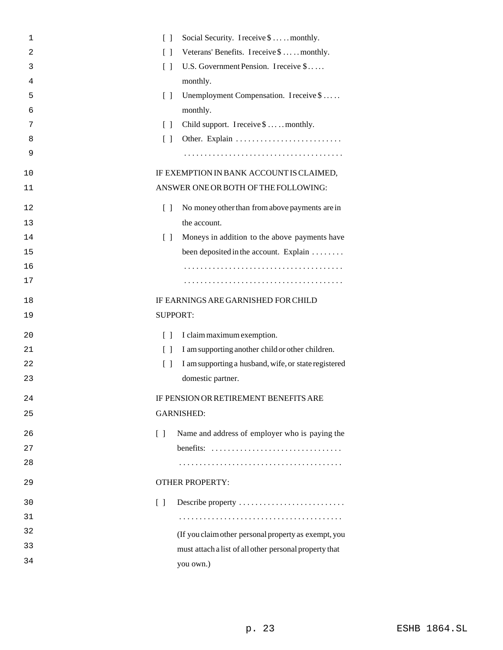| 1  | $\Box$                            | Social Security. I receive \$  monthly.                |
|----|-----------------------------------|--------------------------------------------------------|
| 2  | $\lceil$ $\rceil$                 | Veterans' Benefits. I receive \$  monthly.             |
| 3  | $\Box$                            | U.S. Government Pension. I receive \$                  |
| 4  |                                   | monthly.                                               |
| 5  | $\Box$                            | Unemployment Compensation. I receive \$                |
| 6  |                                   | monthly.                                               |
| 7  | $\Box$                            | Child support. I receive \$  monthly.                  |
| 8  | $\Box$                            |                                                        |
| 9  |                                   |                                                        |
| 10 |                                   | IF EXEMPTION IN BANK ACCOUNT IS CLAIMED,               |
| 11 |                                   | ANSWER ONE OR BOTH OF THE FOLLOWING:                   |
| 12 | $\Box$                            | No money other than from above payments are in         |
| 13 |                                   | the account.                                           |
| 14 | $\Box$                            | Moneys in addition to the above payments have          |
| 15 |                                   | been deposited in the account. Explain                 |
| 16 |                                   |                                                        |
| 17 |                                   |                                                        |
| 18 |                                   | IF EARNINGS ARE GARNISHED FOR CHILD                    |
| 19 | <b>SUPPORT:</b>                   |                                                        |
| 20 | $\lceil \rceil$                   | I claim maximum exemption.                             |
| 21 | $\lceil$ $\rceil$                 | I am supporting another child or other children.       |
| 22 | $\Box$                            | I am supporting a husband, wife, or state registered   |
| 23 |                                   | domestic partner.                                      |
| 24 |                                   | <b>IF PENSION OR RETIREMENT BENEFITS ARE</b>           |
| 25 |                                   | <b>GARNISHED:</b>                                      |
| 26 | $\begin{bmatrix} 1 \end{bmatrix}$ | Name and address of employer who is paying the         |
| 27 |                                   |                                                        |
| 28 |                                   |                                                        |
| 29 |                                   | <b>OTHER PROPERTY:</b>                                 |
| 30 | $\begin{bmatrix} 1 \end{bmatrix}$ | Describe property                                      |
| 31 |                                   |                                                        |
| 32 |                                   | (If you claim other personal property as exempt, you   |
| 33 |                                   | must attach a list of all other personal property that |
| 34 |                                   | you own.)                                              |
|    |                                   |                                                        |